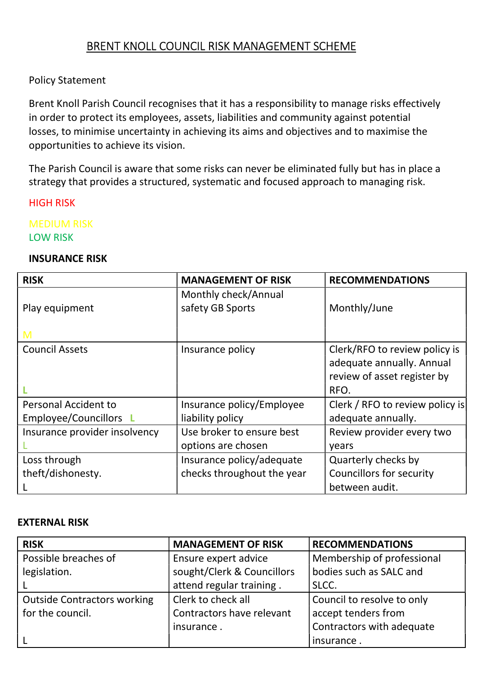## BRENT KNOLL COUNCIL RISK MANAGEMENT SCHEME

#### Policy Statement

Brent Knoll Parish Council recognises that it has a responsibility to manage risks effectively in order to protect its employees, assets, liabilities and community against potential losses, to minimise uncertainty in achieving its aims and objectives and to maximise the opportunities to achieve its vision.

The Parish Council is aware that some risks can never be eliminated fully but has in place a strategy that provides a structured, systematic and focused approach to managing risk.

HIGH RISK

MEDIUM RISK LOW RISK

#### INSURANCE RISK

| <b>RISK</b>                   | <b>MANAGEMENT OF RISK</b>                       | <b>RECOMMENDATIONS</b>                                                                    |
|-------------------------------|-------------------------------------------------|-------------------------------------------------------------------------------------------|
| Play equipment                | Monthly check/Annual<br>safety GB Sports        | Monthly/June                                                                              |
| M                             |                                                 |                                                                                           |
| <b>Council Assets</b>         | Insurance policy                                | Clerk/RFO to review policy is<br>adequate annually. Annual<br>review of asset register by |
|                               |                                                 | RFO.                                                                                      |
| <b>Personal Accident to</b>   | Insurance policy/Employee                       | Clerk / RFO to review policy is                                                           |
| Employee/Councillors L        | liability policy                                | adequate annually.                                                                        |
| Insurance provider insolvency | Use broker to ensure best<br>options are chosen | Review provider every two<br>years                                                        |
| Loss through                  | Insurance policy/adequate                       | Quarterly checks by                                                                       |
| theft/dishonesty.             | checks throughout the year                      | <b>Councillors for security</b>                                                           |
|                               |                                                 | between audit.                                                                            |

#### EXTERNAL RISK

| <b>RISK</b>                        | <b>MANAGEMENT OF RISK</b>  | <b>RECOMMENDATIONS</b>     |
|------------------------------------|----------------------------|----------------------------|
| Possible breaches of               | Ensure expert advice       | Membership of professional |
| legislation.                       | sought/Clerk & Councillors | bodies such as SALC and    |
|                                    | attend regular training.   | SLCC.                      |
| <b>Outside Contractors working</b> | Clerk to check all         | Council to resolve to only |
| for the council.                   | Contractors have relevant  | accept tenders from        |
|                                    | insurance.                 | Contractors with adequate  |
|                                    |                            | insurance.                 |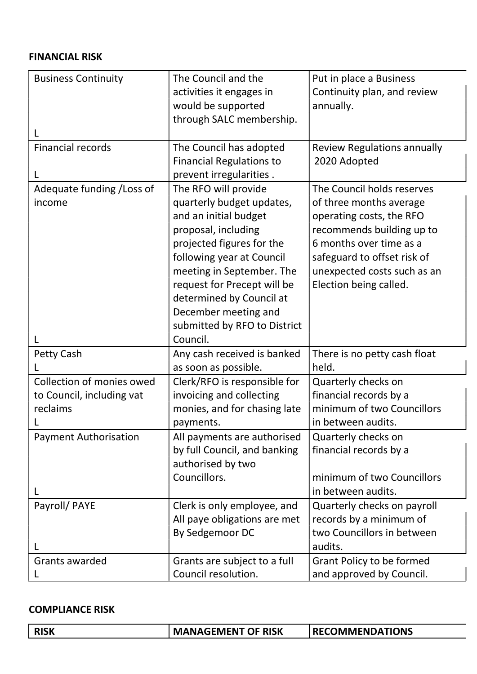#### FINANCIAL RISK

| <b>Business Continuity</b>   | The Council and the             | Put in place a Business            |
|------------------------------|---------------------------------|------------------------------------|
|                              | activities it engages in        | Continuity plan, and review        |
|                              | would be supported              | annually.                          |
|                              | through SALC membership.        |                                    |
|                              |                                 |                                    |
| <b>Financial records</b>     | The Council has adopted         | <b>Review Regulations annually</b> |
|                              | <b>Financial Regulations to</b> | 2020 Adopted                       |
|                              | prevent irregularities.         |                                    |
| Adequate funding / Loss of   | The RFO will provide            | The Council holds reserves         |
| income                       | quarterly budget updates,       | of three months average            |
|                              | and an initial budget           | operating costs, the RFO           |
|                              | proposal, including             | recommends building up to          |
|                              | projected figures for the       | 6 months over time as a            |
|                              | following year at Council       | safeguard to offset risk of        |
|                              | meeting in September. The       | unexpected costs such as an        |
|                              | request for Precept will be     | Election being called.             |
|                              | determined by Council at        |                                    |
|                              | December meeting and            |                                    |
|                              | submitted by RFO to District    |                                    |
|                              | Council.                        |                                    |
| Petty Cash                   | Any cash received is banked     | There is no petty cash float       |
|                              | as soon as possible.            | held.                              |
| Collection of monies owed    | Clerk/RFO is responsible for    | Quarterly checks on                |
| to Council, including vat    | invoicing and collecting        | financial records by a             |
| reclaims                     | monies, and for chasing late    | minimum of two Councillors         |
|                              | payments.                       | in between audits.                 |
| <b>Payment Authorisation</b> | All payments are authorised     | Quarterly checks on                |
|                              | by full Council, and banking    | financial records by a             |
|                              | authorised by two               |                                    |
|                              | Councillors.                    | minimum of two Councillors         |
|                              |                                 | in between audits.                 |
| Payroll/ PAYE                | Clerk is only employee, and     | Quarterly checks on payroll        |
|                              | All paye obligations are met    | records by a minimum of            |
|                              | By Sedgemoor DC                 | two Councillors in between         |
|                              |                                 | audits.                            |
| Grants awarded               | Grants are subject to a full    | Grant Policy to be formed          |
|                              |                                 |                                    |

### COMPLIANCE RISK

| <b>MANAGEMENT OF RISK</b><br><b>RECOMMENDATIONS</b><br><b>RISK</b> |  |
|--------------------------------------------------------------------|--|
|--------------------------------------------------------------------|--|